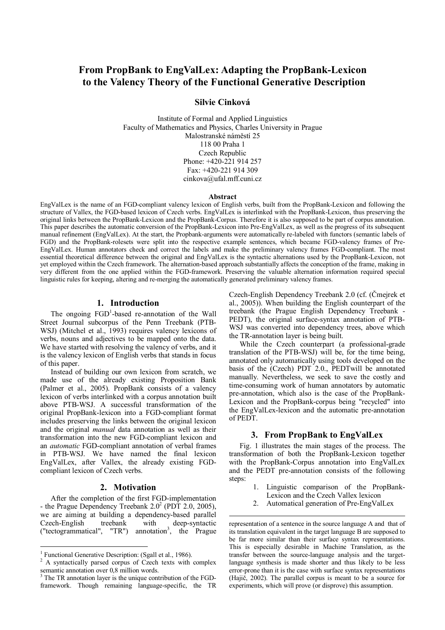# **From PropBank to EngValLex: Adapting the PropBank-Lexicon to the Valency Theory of the Functional Generative Description**

# **Silvie Cinková**

Institute of Formal and Applied Linguistics Faculty of Mathematics and Physics, Charles University in Prague Malostranské náměstí 25 118 00 Praha 1 Czech Republic Phone: +420-221 914 257 Fax: +420-221 914 309 cinkova@ufal.mff.cuni.cz

#### **Abstract**

EngValLex is the name of an FGD-compliant valency lexicon of English verbs, built from the PropBank-Lexicon and following the structure of Vallex, the FGD-based lexicon of Czech verbs. EngValLex is interlinked with the PropBank-Lexicon, thus preserving the original links between the PropBank-Lexicon and the PropBank-Corpus. Therefore it is also supposed to be part of corpus annotation. This paper describes the automatic conversion of the PropBank-Lexicon into Pre-EngValLex, as well as the progress of its subsequent manual refinement (EngValLex). At the start, the Propbank-arguments were automatically re-labeled with functors (semantic labels of FGD) and the PropBank-rolesets were split into the respective example sentences, which became FGD-valency frames of Pre-EngValLex. Human annotators check and correct the labels and make the preliminary valency frames FGD-compliant. The most essential theoretical difference between the original and EngValLex is the syntactic alternations used by the PropBank-Lexicon, not yet employed within the Czech framework. The alternation-based approach substantially affects the conception of the frame, making in very different from the one applied within the FGD-framework. Preserving the valuable alternation information required special linguistic rules for keeping, altering and re-merging the automatically generated preliminary valency frames.

 $\overline{a}$ 

### **1. Introduction**

The ongoing  $FGD<sup>1</sup>$ -based re-annotation of the Wall Street Journal subcorpus of the Penn Treebank (PTB-WSJ) (Mitchel et al., 1993) requires valency lexicons of verbs, nouns and adjectives to be mapped onto the data. We have started with resolving the valency of verbs, and it is the valency lexicon of English verbs that stands in focus of this paper.

Instead of building our own lexicon from scratch, we made use of the already existing Proposition Bank (Palmer et al., 2005). PropBank consists of a valency lexicon of verbs interlinked with a corpus annotation built above PTB-WSJ. A successful transformation of the original PropBank-lexicon into a FGD-compliant format includes preserving the links between the original lexicon and the original *manual* data annotation as well as their transformation into the new FGD-compliant lexicon and an *automatic* FGD-compliant annotation of verbal frames in PTB-WSJ. We have named the final lexicon EngValLex, after Vallex, the already existing FGDcompliant lexicon of Czech verbs.

# **2. Motivation**

After the completion of the first FGD-implementation - the Prague Dependency Treebank  $2.0^2$  (PDT 2.0, 2005), we are aiming at building a dependency-based parallel Czech-English treebank with deep-syntactic ("tectogrammatical", "TR") annotation<sup>3</sup>, the Prague

 $\overline{a}$ 

Czech-English Dependency Treebank 2.0 (cf. (Čmejrek et al., 2005)). When building the English counterpart of the treebank (the Prague English Dependency Treebank - PEDT), the original surface-syntax annotation of PTB-WSJ was converted into dependency trees, above which the TR-annotation layer is being built.

While the Czech counterpart (a professional-grade translation of the PTB-WSJ) will be, for the time being, annotated only automatically using tools developed on the basis of the (Czech) PDT 2.0., PEDTwill be annotated manually. Nevertheless, we seek to save the costly and time-consuming work of human annotators by automatic pre-annotation, which also is the case of the PropBank-Lexicon and the PropBank-corpus being "recycled" into the EngValLex-lexicon and the automatic pre-annotation of PEDT.

# **3. From PropBank to EngValLex**

Fig. 1 illustrates the main stages of the process. The transformation of both the PropBank-Lexicon together with the PropBank-Corpus annotation into EngValLex and the PEDT pre-annotation consists of the following steps:

- 1. Linguistic comparison of the PropBank-Lexicon and the Czech Vallex lexicon
- 2. Automatical generation of Pre-EngValLex

<sup>&</sup>lt;sup>1</sup> Functional Generative Description: (Sgall et al., 1986).

<sup>&</sup>lt;sup>2</sup> A syntactically parsed corpus of Czech texts with complex semantic annotation over 0,8 million words.

<sup>&</sup>lt;sup>3</sup> The TR annotation layer is the unique contribution of the FGDframework. Though remaining language-specific, the TR

representation of a sentence in the source language A and that of its translation equivalent in the target language B are supposed to be far more similar than their surface syntax representations. This is especially desirable in Machine Translation, as the transfer between the source-language analysis and the targetlanguage synthesis is made shorter and thus likely to be less error-prone than it is the case with surface syntax representations (Hajič, 2002). The parallel corpus is meant to be a source for experiments, which will prove (or disprove) this assumption.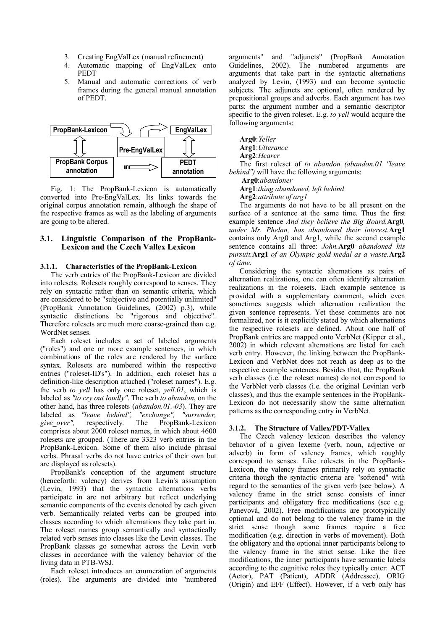- 3. Creating EngValLex (manual refinement)
- 4. Automatic mapping of EngValLex onto PEDT
- 5. Manual and automatic corrections of verb frames during the general manual annotation of PEDT.



Fig. 1: The PropBank-Lexicon is automatically converted into Pre-EngValLex. Its links towards the original corpus annotation remain, although the shape of the respective frames as well as the labeling of arguments are going to be altered.

# **3.1. Linguistic Comparison of the PropBank-Lexicon and the Czech Vallex Lexicon**

# **3.1.1. Characteristics of the PropBank-Lexicon**

The verb entries of the PropBank-Lexicon are divided into rolesets. Rolesets roughly correspond to senses. They rely on syntactic rather than on semantic criteria, which are considered to be "subjective and potentially unlimited" (PropBank Annotation Guidelines, (2002) p.3), while syntactic distinctions be "rigorous and objective". Therefore rolesets are much more coarse-grained than e.g. WordNet senses.

Each roleset includes a set of labeled arguments ("roles") and one or more example sentences, in which combinations of the roles are rendered by the surface syntax. Rolesets are numbered within the respective entries ("roleset-ID's"). In addition, each roleset has a definition-like description attached ("roleset names"). E.g. the verb *to yell* has only one roleset, *yell.01*, which is labeled as *"to cry out loudly"*. The verb *to abandon*, on the other hand, has three rolesets (*abandon.01.-03*). They are labeled as *"leave behind", "exchange", "surrender,*  respectively. The PropBank-Lexicon comprises about 2000 roleset names, in which about 4600 rolesets are grouped. (There are 3323 verb entries in the PropBank-Lexicon. Some of them also include phrasal verbs. Phrasal verbs do not have entries of their own but are displayed as rolesets).

PropBank's conception of the argument structure (henceforth: valency) derives from Levin's assumption (Levin, 1993) that the syntactic alternations verbs participate in are not arbitrary but reflect underlying semantic components of the events denoted by each given verb. Semantically related verbs can be grouped into classes according to which alternations they take part in. The roleset names group semantically and syntactically related verb senses into classes like the Levin classes. The PropBank classes go somewhat across the Levin verb classes in accordance with the valency behavior of the living data in PTB-WSJ.

Each roleset introduces an enumeration of arguments (roles). The arguments are divided into "numbered arguments" and "adjuncts" (PropBank Annotation Guidelines, 2002). The numbered arguments are arguments that take part in the syntactic alternations analyzed by Levin, (1993) and can become syntactic subjects. The adjuncts are optional, often rendered by prepositional groups and adverbs. Each argument has two parts: the argument number and a semantic descriptor specific to the given roleset. E.g. *to yell* would acquire the following arguments:

**Arg0**:*Yeller*

**Arg1**:*Utterance*

**Arg2**:*Hearer*

The first roleset of *to abandon (abandon.01 "leave behind")* will have the following arguments:

 **Arg0**:*abandoner*

**Arg1**:*thing abandoned, left behind*

**Arg2**:*attribute of arg1*

The arguments do not have to be all present on the surface of a sentence at the same time. Thus the first example sentence *And they believe the Big Board.***Arg0***, under Mr. Phelan, has abandoned their interest.***Arg1** contains only Arg0 and Arg1, while the second example sentence contains all three: *John.***Arg0** *abandoned his pursuit.***Arg1** *of an Olympic gold medal as a waste.***Arg2** *of time*.

Considering the syntactic alternations as pairs of alternation realizations, one can often identify alternation realizations in the rolesets. Each example sentence is provided with a supplementary comment, which even sometimes suggests which alternation realization the given sentence represents. Yet these comments are not formalized, nor is it explicitly stated by which alternations the respective rolesets are defined. About one half of PropBank entries are mapped onto VerbNet (Kipper et al., 2002) in which relevant alternations are listed for each verb entry. However, the linking between the PropBank-Lexicon and VerbNet does not reach as deep as to the respective example sentences. Besides that, the PropBank verb classes (i.e. the roleset names) do not correspond to the VerbNet verb classes (i.e. the original Levinian verb classes), and thus the example sentences in the PropBank-Lexicon do not necessarily show the same alternation patterns as the corresponding entry in VerbNet.

#### **3.1.2. The Structure of Vallex/PDT-Vallex**

The Czech valency lexicon describes the valency behavior of a given lexeme (verb, noun, adjective or adverb) in form of valency frames, which roughly correspond to senses. Like rolesets in the PropBank-Lexicon, the valency frames primarily rely on syntactic criteria though the syntactic criteria are "softened" with regard to the semantics of the given verb (see below). A valency frame in the strict sense consists of inner participants and obligatory free modifications (see e.g. Panevová, 2002). Free modifications are prototypically optional and do not belong to the valency frame in the strict sense though some frames require a free modification (e.g. direction in verbs of movement). Both the obligatory and the optional inner participants belong to the valency frame in the strict sense. Like the free modifications, the inner participants have semantic labels according to the cognitive roles they typically enter: ACT (Actor), PAT (Patient), ADDR (Addressee), ORIG (Origin) and EFF (Effect). However, if a verb only has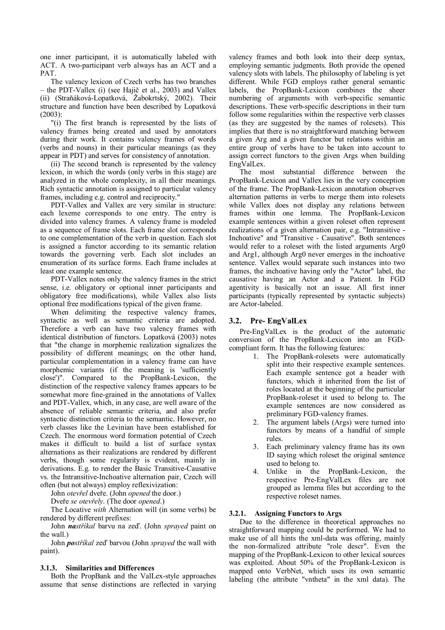one inner participant, it is automatically labeled with ACT. A two-participant verb always has an ACT and a PAT.

The valency lexicon of Czech verbs has two branches – the PDT-Vallex (i) (see Hajič et al., 2003) and Vallex (ii) (Straňáková-Lopatková, Žabokrtský, 2002). Their structure and function have been described by Lopatková (2003):

"(i) The first branch is represented by the lists of valency frames being created and used by annotators during their work. It contains valency frames of words (verbs and nouns) in their particular meanings (as they appear in PDT) and serves for consistency of annotation.

(ii) The second branch is represented by the valency lexicon, in which the words (only verbs in this stage) are analyzed in the whole complexity, in all their meanings. Rich syntactic annotation is assigned to particular valency frames, including e.g. control and reciprocity."

PDT-Vallex and Vallex are very similar in structure: each lexeme corresponds to one entry. The entry is divided into valency frames. A valency frame is modeled as a sequence of frame slots. Each frame slot corresponds to one complementation of the verb in question. Each slot is assigned a functor according to its semantic relation towards the governing verb. Each slot includes an enumeration of its surface forms. Each frame includes at least one example sentence.

PDT-Vallex notes only the valency frames in the strict sense, i.e. obligatory or optional inner participants and obligatory free modifications), while Vallex also lists optional free modifications typical of the given frame.

When delimiting the respective valency frames, syntactic as well as semantic criteria are adopted. Therefore a verb can have two valency frames with identical distribution of functors. Lopatková (2003) notes that "the change in morphemic realization signalizes the possibility of different meanings; on the other hand, particular complementation in a valency frame can have morphemic variants (if the meaning is 'sufficiently close')". Compared to the PropBank-Lexicon, the distinction of the respective valency frames appears to be somewhat more fine-grained in the annotations of Vallex and PDT-Vallex, which, in any case, are well aware of the absence of reliable semantic criteria, and also prefer syntactic distinction criteria to the semantic. However, no verb classes like the Levinian have been established for Czech. The enormous word formation potential of Czech makes it difficult to build a list of surface syntax alternations as their realizations are rendered by different verbs, though some regularity is evident, mainly in derivations. E.g. to render the Basic Transitive-Causative vs. the Intransitive-Inchoative alternation pair, Czech will often (but not always) employ reflexivization:

John *otevřel* dveře. (John *opened* the door.)

Dveře *se otevřely.* (The door *opened*.)

The Locative *with* Alternation will (in some verbs) be rendered by different prefixes:

John *nastříkal* barvu na zeď. (John *sprayed* paint on the wall.)

John *postříkal* zeď barvou (John *sprayed* the wall with paint).

#### **3.1.3. Similarities and Differences**

Both the PropBank and the ValLex-style approaches assume that sense distinctions are reflected in varying valency frames and both look into their deep syntax, employing semantic judgments. Both provide the opened valency slots with labels. The philosophy of labeling is yet different. While FGD employs rather general semantic labels, the PropBank-Lexicon combines the sheer numbering of arguments with verb-specific semantic descriptions. These verb-specific descriptions in their turn follow some regularities within the respective verb classes (as they are suggested by the names of rolesets). This implies that there is no straightforward matching between a given Arg and a given functor but relations within an entire group of verbs have to be taken into account to assign correct functors to the given Args when building EngValLex.

The most substantial difference between the PropBank-Lexicon and Vallex lies in the very conception of the frame. The PropBank-Lexicon annotation observes alternation patterns in verbs to merge them into rolesets while Vallex does not display any relations between frames within one lemma. The PropBank-Lexicon example sentences within a given roleset often represent realizations of a given alternation pair, e.g. "Intransitive - Inchoative" and "Transitive - Causative". Both sentences would refer to a roleset with the listed arguments Arg0 and Arg1, although Arg0 never emerges in the inchoative sentence. Vallex would separate such instances into two frames, the inchoative having only the "Actor" label, the causative having an Actor and a Patient. In FGD agentivity is basically not an issue. All first inner participants (typically represented by syntactic subjects) are Actor-labeled.

# **3.2. Pre- EngValLex**

Pre-EngValLex is the product of the automatic conversion of the PropBank-Lexicon into an FGDcompliant form. It has the following features:

- 1. The PropBank-rolesets were automatically split into their respective example sentences. Each example sentence got a header with functors, which it inherited from the list of roles located at the beginning of the particular PropBank-roleset it used to belong to. The example sentences are now considered as preliminary FGD-valency frames.
- 2. The argument labels (Args) were turned into functors by means of a handful of simple rules.
- 3. Each preliminary valency frame has its own ID saying which roleset the original sentence used to belong to.
- 4. Unlike in the PropBank-Lexicon, the respective Pre-EngValLex files are not grouped as lemma files but according to the respective roleset names.

# **3.2.1. Assigning Functors to Args**

Due to the difference in theoretical approaches no straightforward mapping could be performed. We had to make use of all hints the xml-data was offering, mainly the non-formalized attribute "role descr". Even the mapping of the PropBank-Lexicon to other lexical sources was exploited. About 50% of the PropBank-Lexicon is mapped onto VerbNet, which uses its own semantic labeling (the attribute "vntheta" in the xml data). The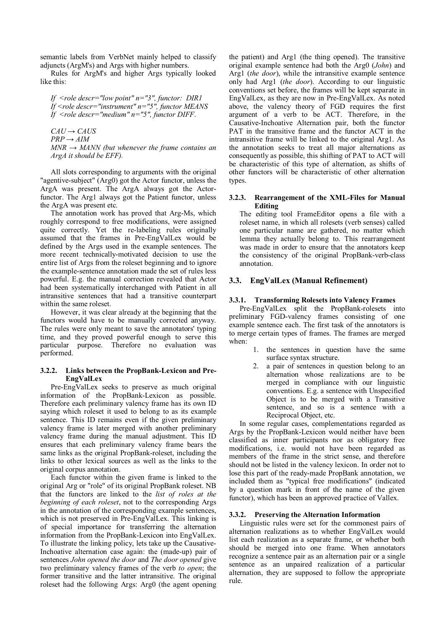semantic labels from VerbNet mainly helped to classify adjuncts (ArgM's) and Args with higher numbers.

Rules for ArgM's and higher Args typically looked like this:

*If <role descr="low point" n="3", functor: DIR1 If <role descr="instrument" n="5", functor MEANS If <role descr="medium" n="5", functor DIFF*.

 $CAU \rightarrow CAUS$ 

 $PRP \rightarrow AIM$ 

*MNR → MANN (but whenever the frame contains an ArgA it should be EFF).* 

All slots corresponding to arguments with the original "agentive-subject" (Arg0) got the Actor functor, unless the ArgA was present. The ArgA always got the Actorfunctor. The Arg1 always got the Patient functor, unless the ArgA was present etc.

The annotation work has proved that Arg-Ms, which roughly correspond to free modifications, were assigned quite correctly. Yet the re-labeling rules originally assumed that the frames in Pre-EngValLex would be defined by the Args used in the example sentences. The more recent technically-motivated decision to use the entire list of Args from the roleset beginning and to ignore the example-sentence annotation made the set of rules less powerful. E.g. the manual correction revealed that Actor had been systematically interchanged with Patient in all intransitive sentences that had a transitive counterpart within the same roleset.

However, it was clear already at the beginning that the functors would have to be manually corrected anyway. The rules were only meant to save the annotators' typing time, and they proved powerful enough to serve this particular purpose. Therefore no evaluation was performed.

# **3.2.2. Links between the PropBank-Lexicon and Pre-EngValLex**

Pre-EngValLex seeks to preserve as much original information of the PropBank-Lexicon as possible. Therefore each preliminary valency frame has its own ID saying which roleset it used to belong to as its example sentence. This ID remains even if the given preliminary valency frame is later merged with another preliminary valency frame during the manual adjustment. This ID ensures that each preliminary valency frame bears the same links as the original PropBank-roleset, including the links to other lexical sources as well as the links to the original corpus annotation.

Each functor within the given frame is linked to the original Arg or "role" of its original PropBank roleset. NB that the functors are linked to the *list of roles at the beginning of each roleset*, not to the corresponding Args in the annotation of the corresponding example sentences, which is not preserved in Pre-EngValLex. This linking is of special importance for transferring the alternation information from the PropBank-Lexicon into EngValLex. To illustrate the linking policy, lets take up the Causative-Inchoative alternation case again: the (made-up) pair of sentences *John opened the door* and *The door opened* give two preliminary valency frames of the verb *to open*; the former transitive and the latter intransitive. The original roleset had the following Args: Arg0 (the agent opening

the patient) and Arg1 (the thing opened). The transitive original example sentence had both the Arg0 (*John*) and Arg1 (*the door*), while the intransitive example sentence only had Arg1 (*the door*). According to our linguistic conventions set before, the frames will be kept separate in EngValLex, as they are now in Pre-EngValLex. As noted above, the valency theory of FGD requires the first argument of a verb to be ACT. Therefore, in the Causative-Inchoative Alternation pair, both the functor PAT in the transitive frame and the functor ACT in the intransitive frame will be linked to the original Arg1. As the annotation seeks to treat all major alternations as consequently as possible, this shifting of PAT to ACT will be characteristic of this type of alternation, as shifts of other functors will be characteristic of other alternation types.

# **3.2.3. Rearrangement of the XML-Files for Manual Editing**

The editing tool FrameEditor opens a file with a roleset name, in which all rolesets (verb senses) called one particular name are gathered, no matter which lemma they actually belong to. This rearrangement was made in order to ensure that the annotators keep the consistency of the original PropBank-verb-class annotation.

# **3.3. EngValLex (Manual Refinement)**

# **3.3.1. Transforming Rolesets into Valency Frames**

Pre-EngValLex split the PropBank-rolesets into preliminary FGD-valency frames consisting of one example sentence each. The first task of the annotators is to merge certain types of frames. The frames are merged when:

- 1. the sentences in question have the same surface syntax structure.
- 2. a pair of sentences in question belong to an alternation whose realizations are to be merged in compliance with our linguistic conventions. E.g. a sentence with Unspecified Object is to be merged with a Transitive sentence, and so is a sentence with a Reciprocal Object, etc.

In some regular cases, complementations regarded as Args by the PropBank-Lexicon would neither have been classified as inner participants nor as obligatory free modifications, i.e. would not have been regarded as members of the frame in the strict sense, and therefore should not be listed in the valency lexicon. In order not to lose this part of the ready-made PropBank annotation, we included them as "typical free modifications" (indicated by a question mark in front of the name of the given functor), which has been an approved practice of Vallex.

# **3.3.2. Preserving the Alternation Information**

Linguistic rules were set for the commonest pairs of alternation realizations as to whether EngValLex would list each realization as a separate frame, or whether both should be merged into one frame. When annotators recognize a sentence pair as an alternation pair or a single sentence as an unpaired realization of a particular alternation, they are supposed to follow the appropriate rule.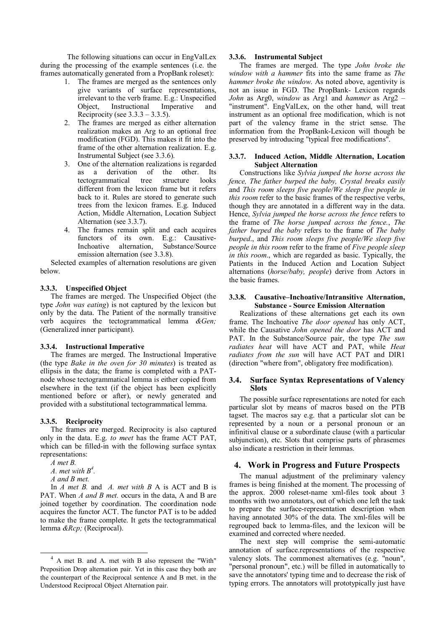The following situations can occur in EngValLex during the processing of the example sentences (i.e. the frames automatically generated from a PropBank roleset):

- 1. The frames are merged as the sentences only give variants of surface representations, irrelevant to the verb frame. E.g.: Unspecified Object, Instructional Imperative and Reciprocity (see  $3.3.3 - 3.3.5$ ).
- 2. The frames are merged as either alternation realization makes an Arg to an optional free modification (FGD). This makes it fit into the frame of the other alternation realization. E.g. Instrumental Subject (see 3.3.6).
- 3. One of the alternation realizations is regarded as a derivation of the other. Its tectogrammatical tree structure looks different from the lexicon frame but it refers back to it. Rules are stored to generate such trees from the lexicon frames. E.g. Induced Action, Middle Alternation, Location Subject Alternation (see 3.3.7).
- 4. The frames remain split and each acquires functors of its own. E.g.: Causative-Inchoative alternation, Substance/Source emission alternation (see 3.3.8).

Selected examples of alternation resolutions are given below.

# **3.3.3. Unspecified Object**

The frames are merged. The Unspecified Object (the type *John was eating*) is not captured by the lexicon but only by the data. The Patient of the normally transitive verb acquires the tectogrammatical lemma *&Gen;* (Generalized inner participant).

# **3.3.4. Instructional Imperative**

The frames are merged. The Instructional Imperative (the type *Bake in the oven for 30 minutes*) is treated as ellipsis in the data; the frame is completed with a PATnode whose tectogrammatical lemma is either copied from elsewhere in the text (if the object has been explicitly mentioned before or after), or newly generated and provided with a substitutional tectogrammatical lemma.

# **3.3.5. Reciprocity**

The frames are merged. Reciprocity is also captured only in the data. E.g. *to meet* has the frame ACT PAT, which can be filled-in with the following surface syntax representations:

*A met B.* 

*A. met with B4 .* 

*A and B met.* 

In *A met B.* and *A. met with B* A is ACT and B is PAT. When *A and B met.* occurs in the data, A and B are joined together by coordination. The coordination node acquires the functor ACT. The functor PAT is to be added to make the frame complete. It gets the tectogrammatical lemma *&Rcp;* (Reciprocal).

# **3.3.6. Instrumental Subject**

The frames are merged. The type *John broke the window with a hammer* fits into the same frame as *The hammer broke the window*. As noted above, agentivity is not an issue in FGD. The PropBank- Lexicon regards *John* as Arg0, *window* as Arg1 and *hammer* as Arg2 – "instrument". EngValLex, on the other hand, will treat instrument as an optional free modification, which is not part of the valency frame in the strict sense. The information from the PropBank-Lexicon will though be preserved by introducing "typical free modifications".

# **3.3.7. Induced Action, Middle Alternation, Location Subject Alternation**

Constructions like *Sylvia jumped the horse across the fence, The father burped the baby, Crystal breaks easily* and *This room sleeps five people/We sleep five people in this room* refer to the basic frames of the respective verbs, though they are annotated in a different way in the data. Hence, *Sylvia jumped the horse across the fence* refers to the frame of *The horse jumped across the fence.*, *The father burped the baby* refers to the frame of *The baby burped*., and *This room sleeps five people/We sleep five people in this room* refer to the frame of *Five people sleep in this room*., which are regarded as basic. Typically, the Patients in the Induced Action and Location Subject alternations (*horse/baby, people*) derive from Actors in the basic frames.

### **3.3.8. Causative–Inchoative/Intransitive Alternation, Substance - Source Emission Alternation**

Realizations of these alternations get each its own frame. The Inchoative *The door opened* has only ACT, while the Causative *John opened the door* has ACT and PAT. In the Substance/Source pair, the type *The sun radiates heat* will have ACT and PAT, while *Heat radiates from the sun* will have ACT PAT and DIR1 (direction "where from", obligatory free modification).

# **3.4. Surface Syntax Representations of Valency Slots**

The possible surface representations are noted for each particular slot by means of macros based on the PTB tagset. The macros say e.g. that a particular slot can be represented by a noun or a personal pronoun or an infinitival clause or a subordinate clause (with a particular subjunction), etc. Slots that comprise parts of phrasemes also indicate a restriction in their lemmas.

# **4. Work in Progress and Future Prospects**

The manual adjustment of the preliminary valency frames is being finished at the moment. The processing of the approx. 2000 roleset-name xml-files took about 3 months with two annotators, out of which one left the task to prepare the surface-representation description when having annotated 30% of the data. The xml-files will be regrouped back to lemma-files, and the lexicon will be examined and corrected where needed.

The next step will comprise the semi-automatic annotation of surface.representations of the respective valency slots. The commonest alternatives (e.g. "noun", "personal pronoun", etc.) will be filled in automatically to save the annotators' typing time and to decrease the risk of typing errors. The annotators will prototypically just have

 <sup>4</sup> A met B. and A. met with B also represent the "With" Preposition Drop alternation pair. Yet in this case they both are the counterpart of the Reciprocal sentence A and B met. in the Understood Reciprocal Object Alternation pair.